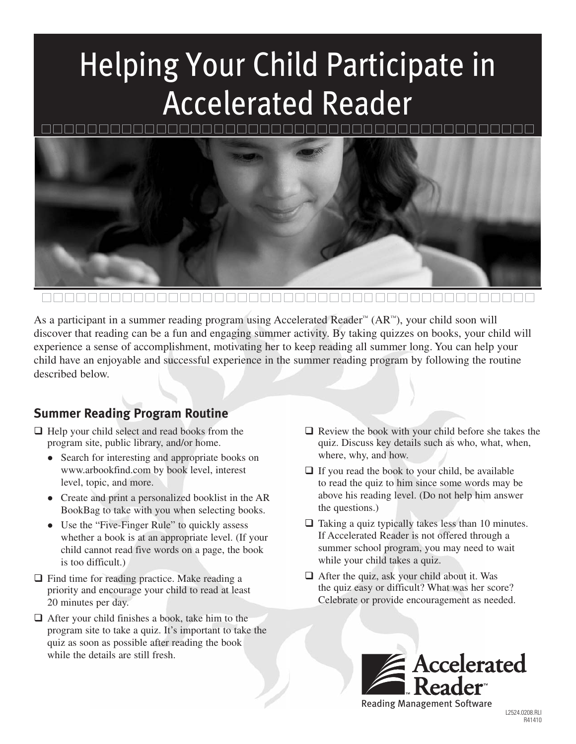## Helping Your Child Participate in Accelerated Reader



As a participant in a summer reading program using Accelerated Reader™ (AR™), your child soon will discover that reading can be a fun and engaging summer activity. By taking quizzes on books, your child will experience a sense of accomplishment, motivating her to keep reading all summer long. You can help your child have an enjoyable and successful experience in the summer reading program by following the routine described below.

### **Summer Reading Program Routine**

- □ Help your child select and read books from the program site, public library, and/or home.
	- Search for interesting and appropriate books on www.arbookfind.com by book level, interest level, topic, and more.
	- Create and print a personalized booklist in the AR BookBag to take with you when selecting books.
	- Use the "Five-Finger Rule" to quickly assess whether a book is at an appropriate level. (If your child cannot read five words on a page, the book is too difficult.)
- □ Find time for reading practice. Make reading a priority and encourage your child to read at least 20 minutes per day.
- □ After your child finishes a book, take him to the program site to take a quiz. It's important to take the quiz as soon as possible after reading the book while the details are still fresh.
- □ Review the book with your child before she takes the quiz. Discuss key details such as who, what, when, where, why, and how.
- $\Box$  If you read the book to your child, be available to read the quiz to him since some words may be above his reading level. (Do not help him answer the questions.)
- □ Taking a quiz typically takes less than 10 minutes. If Accelerated Reader is not offered through a summer school program, you may need to wait while your child takes a quiz.
- After the quiz, ask your child about it. Was the quiz easy or difficult? What was her score? Celebrate or provide encouragement as needed.

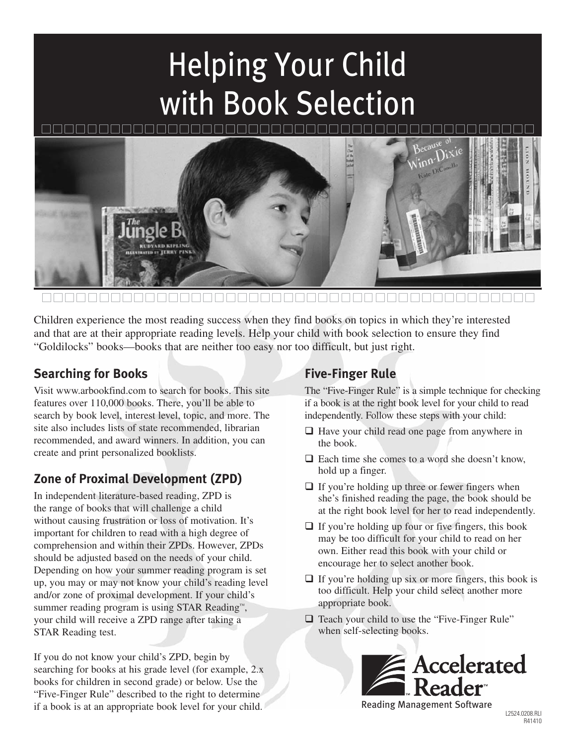# Helping Your Child with Book Selection



Children experience the most reading success when they find books on topics in which they're interested and that are at their appropriate reading levels. Help your child with book selection to ensure they find "Goldilocks" books—books that are neither too easy nor too difficult, but just right.

#### **Searching for Books**

Visit www.arbookfind.com to search for books. This site features over 110,000 books. There, you'll be able to search by book level, interest level, topic, and more. The site also includes lists of state recommended, librarian recommended, and award winners. In addition, you can create and print personalized booklists.

### **Zone of Proximal Development (ZPD)**

In independent literature-based reading, ZPD is the range of books that will challenge a child without causing frustration or loss of motivation. It's important for children to read with a high degree of comprehension and within their ZPDs. However, ZPDs should be adjusted based on the needs of your child. Depending on how your summer reading program is set up, you may or may not know your child's reading level and/or zone of proximal development. If your child's summer reading program is using STAR Reading™, your child will receive a ZPD range after taking a STAR Reading test.

If you do not know your child's ZPD, begin by searching for books at his grade level (for example, 2.x books for children in second grade) or below. Use the "Five-Finger Rule" described to the right to determine if a book is at an appropriate book level for your child.

#### **Five-Finger Rule**

The "Five-Finger Rule" is a simple technique for checking if a book is at the right book level for your child to read independently. Follow these steps with your child:

- □ Have your child read one page from anywhere in the book.
- Each time she comes to a word she doesn't know, hold up a finger.
- $\Box$  If you're holding up three or fewer fingers when she's finished reading the page, the book should be at the right book level for her to read independently.
- If you're holding up four or five fingers, this book may be too difficult for your child to read on her own. Either read this book with your child or encourage her to select another book.
- If you're holding up six or more fingers, this book is too difficult. Help your child select another more appropriate book.
- □ Teach your child to use the "Five-Finger Rule" when self-selecting books.

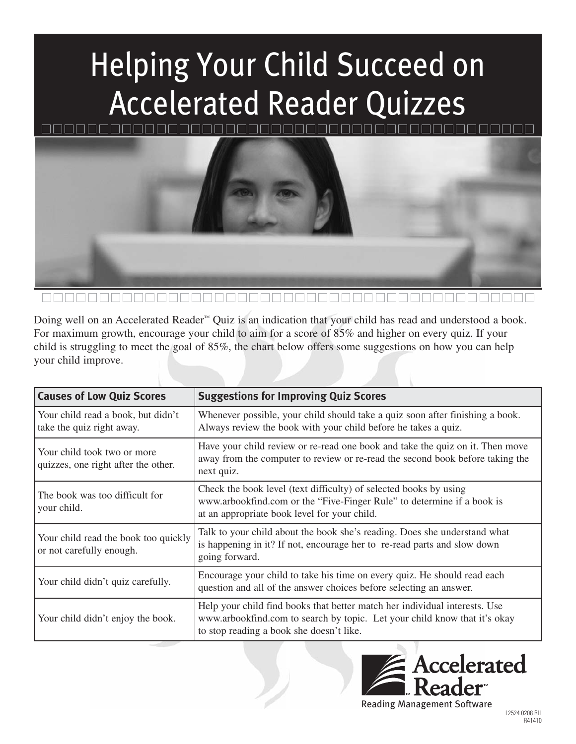# Helping Your Child Succeed on Accelerated Reader Quizzes



Doing well on an Accelerated Reader™ Quiz is an indication that your child has read and understood a book. For maximum growth, encourage your child to aim for a score of 85% and higher on every quiz. If your child is struggling to meet the goal of 85%, the chart below offers some suggestions on how you can help your child improve.

| <b>Causes of Low Quiz Scores</b>                                   | <b>Suggestions for Improving Quiz Scores</b>                                                                                                                                                        |
|--------------------------------------------------------------------|-----------------------------------------------------------------------------------------------------------------------------------------------------------------------------------------------------|
| Your child read a book, but didn't<br>take the quiz right away.    | Whenever possible, your child should take a quiz soon after finishing a book.<br>Always review the book with your child before he takes a quiz.                                                     |
| Your child took two or more<br>quizzes, one right after the other. | Have your child review or re-read one book and take the quiz on it. Then move<br>away from the computer to review or re-read the second book before taking the<br>next quiz.                        |
| The book was too difficult for<br>your child.                      | Check the book level (text difficulty) of selected books by using<br>www.arbookfind.com or the "Five-Finger Rule" to determine if a book is<br>at an appropriate book level for your child.         |
| Your child read the book too quickly<br>or not carefully enough.   | Talk to your child about the book she's reading. Does she understand what<br>is happening in it? If not, encourage her to re-read parts and slow down<br>going forward.                             |
| Your child didn't quiz carefully.                                  | Encourage your child to take his time on every quiz. He should read each<br>question and all of the answer choices before selecting an answer.                                                      |
| Your child didn't enjoy the book.                                  | Help your child find books that better match her individual interests. Use<br>www.arbookfind.com to search by topic. Let your child know that it's okay<br>to stop reading a book she doesn't like. |